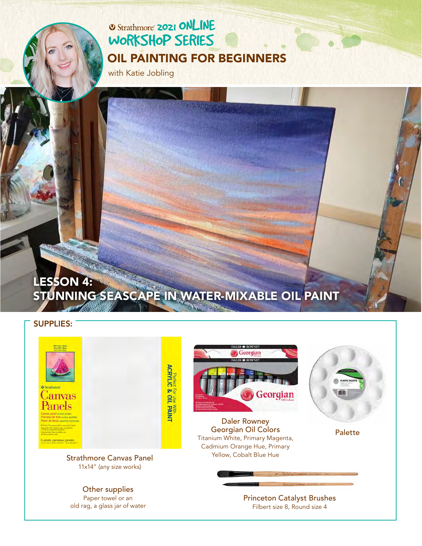# **2021 ONLINE** [WORKSHOP SERIES](https://www.strathmoreartiststudio.com/) [OIL PAINTING FOR BEGINNERS](https://www.strathmoreartiststudio.com/groups/workshop-4-2021/forum/)

with Katie Jobling

# LESSON 4: [STUNNING SEASCAPE IN WATER-MIXABLE OIL PAINT](https://www.strathmoreartiststudio.com/groups/workshop-4-2021/forum/)

#### SUPPLIES:



Paper towel or an old rag, a glass jar of water [Princeton Catalyst Brushes](https://www.princetonbrush.com/catalyst-polytip-series-6400-princeton-brush-company-brush-6400/) Filbert size 8, Round size 4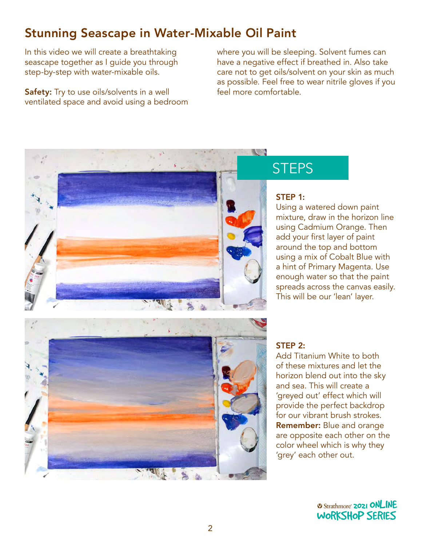# Stunning Seascape in Water-Mixable Oil Paint

In this video we will create a breathtaking seascape together as I guide you through step-by-step with water-mixable oils.

**Safety:** Try to use oils/solvents in a well ventilated space and avoid using a bedroom where you will be sleeping. Solvent fumes can have a negative effect if breathed in. Also take care not to get oils/solvent on your skin as much as possible. Feel free to wear nitrile gloves if you feel more comfortable.



# **STEPS**

#### STEP 1:

Using a watered down paint mixture, draw in the horizon line using Cadmium Orange. Then add your first layer of paint around the top and bottom using a mix of Cobalt Blue with a hint of Primary Magenta. Use enough water so that the paint spreads across the canvas easily. This will be our 'lean' layer.



Add Titanium White to both of these mixtures and let the horizon blend out into the sky and sea. This will create a 'greyed out' effect which will provide the perfect backdrop for our vibrant brush strokes. Remember: Blue and orange are opposite each other on the color wheel which is why they 'grey' each other out. 2021 ONLINE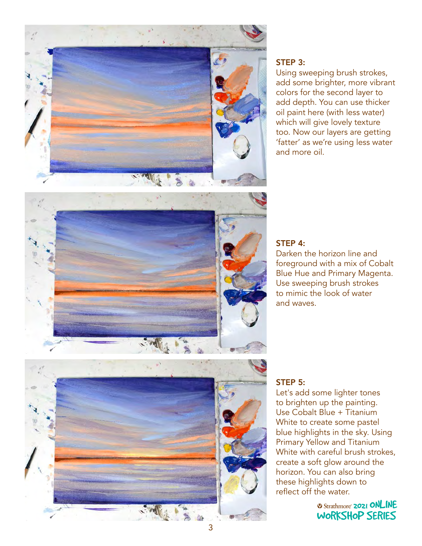

### STEP 3:

Using sweeping brush strokes, add some brighter, more vibrant colors for the second layer to add depth. You can use thicker oil paint here (with less water) which will give lovely texture too. Now our layers are getting 'fatter' as we're using less water and more oil.



### STEP 4:

Darken the horizon line and foreground with a mix of Cobalt Blue Hue and Primary Magenta. Use sweeping brush strokes to mimic the look of water and waves.

#### STEP 5:

Let's add some lighter tones to brighten up the painting. Use Cobalt Blue + Titanium White to create some pastel blue highlights in the sky. Using Primary Yellow and Titanium White with careful brush strokes, vinite with careful brush strokes,<br>create a soft glow around the ereate a sort giow around the<br>horizon. You can also bring these highlights down to reflect off the water.

> **2021 ONLINE** [WORKSHOP SERIES](https://www.strathmoreartiststudio.com/)